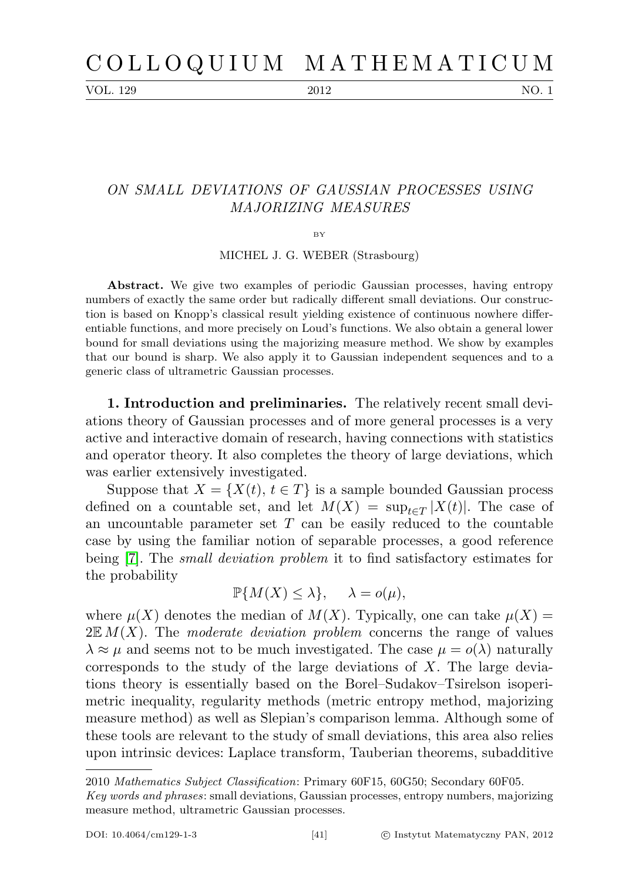VOL. 129 2012 NO. 1

## ON SMALL DEVIATIONS OF GAUSSIAN PROCESSES USING MAJORIZING MEASURES

BY

MICHEL J. G. WEBER (Strasbourg)

Abstract. We give two examples of periodic Gaussian processes, having entropy numbers of exactly the same order but radically different small deviations. Our construction is based on Knopp's classical result yielding existence of continuous nowhere differentiable functions, and more precisely on Loud's functions. We also obtain a general lower bound for small deviations using the majorizing measure method. We show by examples that our bound is sharp. We also apply it to Gaussian independent sequences and to a generic class of ultrametric Gaussian processes.

1. Introduction and preliminaries. The relatively recent small deviations theory of Gaussian processes and of more general processes is a very active and interactive domain of research, having connections with statistics and operator theory. It also completes the theory of large deviations, which was earlier extensively investigated.

Suppose that  $X = \{X(t), t \in T\}$  is a sample bounded Gaussian process defined on a countable set, and let  $M(X) = \sup_{t \in T} |X(t)|$ . The case of an uncountable parameter set  $T$  can be easily reduced to the countable case by using the familiar notion of separable processes, a good reference being [\[7\]](#page-17-0). The small deviation problem it to find satisfactory estimates for the probability

$$
\mathbb{P}\{M(X) \le \lambda\}, \quad \lambda = o(\mu),
$$

where  $\mu(X)$  denotes the median of  $M(X)$ . Typically, one can take  $\mu(X)$  =  $2E M(X)$ . The moderate deviation problem concerns the range of values  $\lambda \approx \mu$  and seems not to be much investigated. The case  $\mu = o(\lambda)$  naturally corresponds to the study of the large deviations of  $X$ . The large deviations theory is essentially based on the Borel–Sudakov–Tsirelson isoperimetric inequality, regularity methods (metric entropy method, majorizing measure method) as well as Slepian's comparison lemma. Although some of these tools are relevant to the study of small deviations, this area also relies upon intrinsic devices: Laplace transform, Tauberian theorems, subadditive

<sup>2010</sup> Mathematics Subject Classification: Primary 60F15, 60G50; Secondary 60F05.

Key words and phrases: small deviations, Gaussian processes, entropy numbers, majorizing measure method, ultrametric Gaussian processes.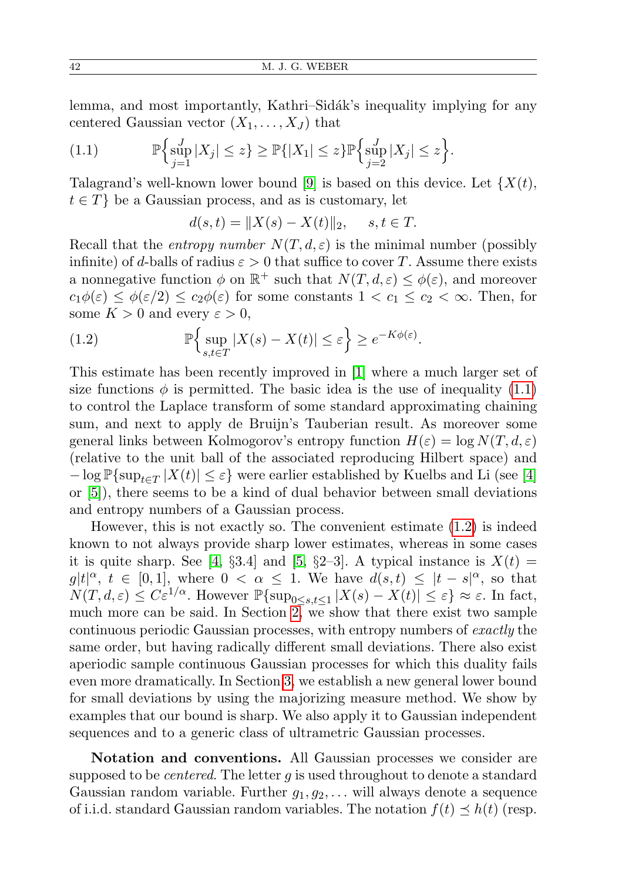lemma, and most importantly, Kathri–Sidák's inequality implying for any centered Gaussian vector  $(X_1, \ldots, X_J)$  that

<span id="page-1-0"></span>(1.1) P n J sup j=1 |X<sup>j</sup> | ≤ z} ≥ P{|X1| ≤ z}P n J sup j=2 |X<sup>j</sup> | ≤ z o .

Talagrand's well-known lower bound [\[9\]](#page-17-1) is based on this device. Let  $\{X(t),\}$  $t \in T$  be a Gaussian process, and as is customary, let

<span id="page-1-1"></span> $d(s,t) = ||X(s) - X(t)||_2, \quad s, t \in T.$ 

Recall that the *entropy number*  $N(T, d, \varepsilon)$  is the minimal number (possibly infinite) of d-balls of radius  $\varepsilon > 0$  that suffice to cover T. Assume there exists a nonnegative function  $\phi$  on  $\mathbb{R}^+$  such that  $N(T, d, \varepsilon) \leq \phi(\varepsilon)$ , and moreover  $c_1\phi(\varepsilon) \leq \phi(\varepsilon/2) \leq c_2\phi(\varepsilon)$  for some constants  $1 < c_1 \leq c_2 < \infty$ . Then, for some  $K > 0$  and every  $\varepsilon > 0$ ,

(1.2) 
$$
\mathbb{P}\Big\{\sup_{s,t\in T}|X(s)-X(t)|\leq \varepsilon\Big\}\geq e^{-K\phi(\varepsilon)}.
$$

This estimate has been recently improved in [\[1\]](#page-17-2) where a much larger set of size functions  $\phi$  is permitted. The basic idea is the use of inequality [\(1.1\)](#page-1-0) to control the Laplace transform of some standard approximating chaining sum, and next to apply de Bruijn's Tauberian result. As moreover some general links between Kolmogorov's entropy function  $H(\varepsilon) = \log N(T, d, \varepsilon)$ (relative to the unit ball of the associated reproducing Hilbert space) and  $-\log \mathbb{P}\{\sup_{t \in T} |X(t)| \leq \varepsilon\}$  were earlier established by Kuelbs and Li (see [\[4\]](#page-17-3) or [\[5\]](#page-17-4)), there seems to be a kind of dual behavior between small deviations and entropy numbers of a Gaussian process.

However, this is not exactly so. The convenient estimate [\(1.2\)](#page-1-1) is indeed known to not always provide sharp lower estimates, whereas in some cases it is quite sharp. See [\[4,](#page-17-3)  $\S 3.4$ ] and [\[5,](#page-17-4)  $\S 2-3$ ]. A typical instance is  $X(t) =$  $g|t|^{\alpha}, t \in [0,1],$  where  $0 < \alpha \leq 1$ . We have  $d(s,t) \leq |t-s|^{\alpha}$ , so that  $N(T, d, \varepsilon) \leq C \varepsilon^{1/\alpha}$ . However  $\mathbb{P}\{\sup_{0 \leq s,t \leq 1} |X(s) - X(t)| \leq \varepsilon\} \approx \varepsilon$ . In fact, much more can be said. In Section [2,](#page-2-0) we show that there exist two sample continuous periodic Gaussian processes, with entropy numbers of exactly the same order, but having radically different small deviations. There also exist aperiodic sample continuous Gaussian processes for which this duality fails even more dramatically. In Section [3,](#page-8-0) we establish a new general lower bound for small deviations by using the majorizing measure method. We show by examples that our bound is sharp. We also apply it to Gaussian independent sequences and to a generic class of ultrametric Gaussian processes.

Notation and conventions. All Gaussian processes we consider are supposed to be *centered*. The letter  $q$  is used throughout to denote a standard Gaussian random variable. Further  $g_1, g_2, \ldots$  will always denote a sequence of i.i.d. standard Gaussian random variables. The notation  $f(t) \preceq h(t)$  (resp.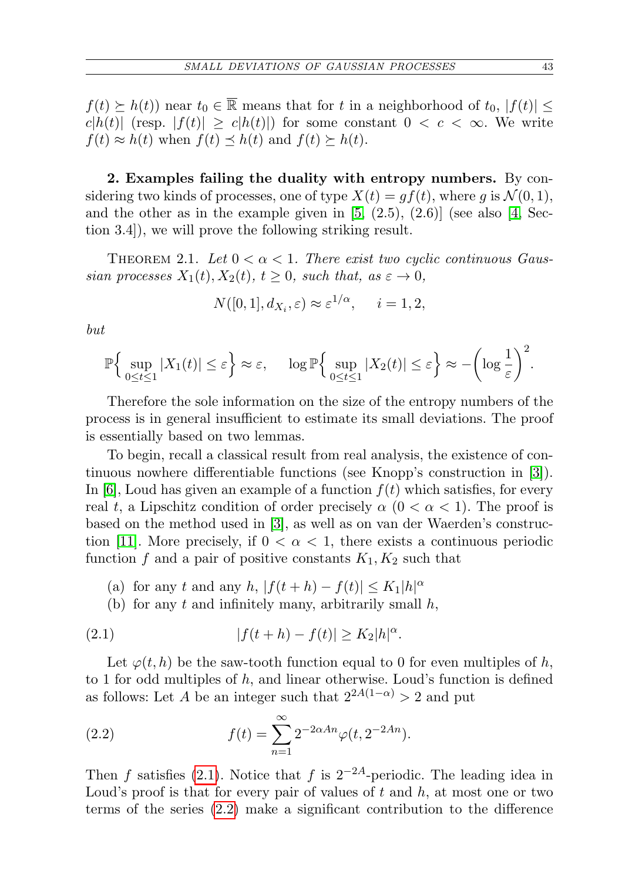$f(t) \succeq h(t)$  near  $t_0 \in \overline{\mathbb{R}}$  means that for t in a neighborhood of  $t_0$ ,  $|f(t)| \leq$  $c|h(t)|$  (resp.  $|f(t)| \ge c|h(t)|$ ) for some constant  $0 < c < \infty$ . We write  $f(t) \approx h(t)$  when  $f(t) \preceq h(t)$  and  $f(t) \succeq h(t)$ .

<span id="page-2-0"></span>2. Examples failing the duality with entropy numbers. By considering two kinds of processes, one of type  $X(t) = qf(t)$ , where g is  $\mathcal{N}(0, 1)$ , and the other as in the example given in  $[5, (2.5), (2.6)]$  $[5, (2.5), (2.6)]$  (see also  $[4, Sec [4, Sec$ tion 3.4]), we will prove the following striking result.

<span id="page-2-3"></span>THEOREM 2.1. Let  $0 < \alpha < 1$ . There exist two cyclic continuous Gaussian processes  $X_1(t), X_2(t), t \geq 0$ , such that, as  $\varepsilon \to 0$ ,

$$
N([0,1], d_{X_i}, \varepsilon) \approx \varepsilon^{1/\alpha}, \quad i = 1, 2,
$$

but

$$
\mathbb{P}\Big\{\sup_{0\leq t\leq 1}|X_1(t)|\leq \varepsilon\Big\}\approx \varepsilon,\quad \log \mathbb{P}\Big\{\sup_{0\leq t\leq 1}|X_2(t)|\leq \varepsilon\Big\}\approx -\bigg(\log \frac{1}{\varepsilon}\bigg)^2.
$$

Therefore the sole information on the size of the entropy numbers of the process is in general insufficient to estimate its small deviations. The proof is essentially based on two lemmas.

To begin, recall a classical result from real analysis, the existence of continuous nowhere differentiable functions (see Knopp's construction in [\[3\]](#page-17-5)). In  $[6]$ , Loud has given an example of a function  $f(t)$  which satisfies, for every real t, a Lipschitz condition of order precisely  $\alpha$  ( $0 < \alpha < 1$ ). The proof is based on the method used in [\[3\]](#page-17-5), as well as on van der Waerden's construc-tion [\[11\]](#page-18-0). More precisely, if  $0 < \alpha < 1$ , there exists a continuous periodic function f and a pair of positive constants  $K_1, K_2$  such that

- (a) for any t and any h,  $|f(t+h) f(t)| \leq K_1|h|^\alpha$
- <span id="page-2-1"></span>(b) for any t and infinitely many, arbitrarily small  $h$ ,

(2.1) 
$$
|f(t+h) - f(t)| \ge K_2 |h|^{\alpha}.
$$

Let  $\varphi(t, h)$  be the saw-tooth function equal to 0 for even multiples of h, to 1 for odd multiples of  $h$ , and linear otherwise. Loud's function is defined as follows: Let A be an integer such that  $2^{2A(1-\alpha)} > 2$  and put

<span id="page-2-2"></span>(2.2) 
$$
f(t) = \sum_{n=1}^{\infty} 2^{-2\alpha A n} \varphi(t, 2^{-2A n}).
$$

Then f satisfies [\(2.1\)](#page-2-1). Notice that f is  $2^{-2A}$ -periodic. The leading idea in Loud's proof is that for every pair of values of  $t$  and  $h$ , at most one or two terms of the series [\(2.2\)](#page-2-2) make a significant contribution to the difference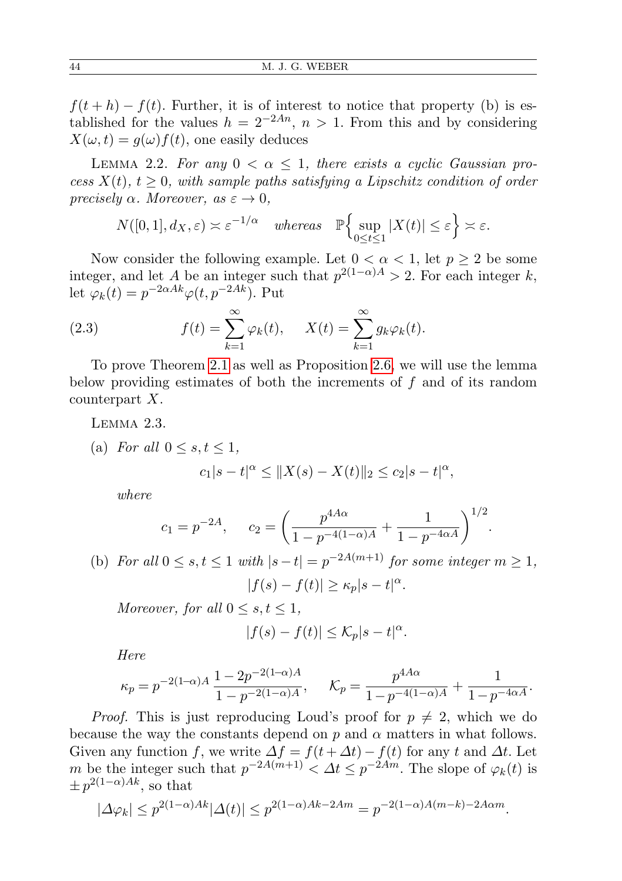$f(t+h) - f(t)$ . Further, it is of interest to notice that property (b) is established for the values  $h = 2^{-2An}$ ,  $n > 1$ . From this and by considering  $X(\omega, t) = q(\omega) f(t)$ , one easily deduces

<span id="page-3-0"></span>LEMMA 2.2. For any  $0 < \alpha \leq 1$ , there exists a cyclic Gaussian process  $X(t)$ ,  $t \geq 0$ , with sample paths satisfying a Lipschitz condition of order precisely  $\alpha$ . Moreover, as  $\varepsilon \to 0$ ,

$$
N([0,1], d_X, \varepsilon) \asymp \varepsilon^{-1/\alpha} \quad \text{whereas} \quad \mathbb{P}\Big\{\sup_{0 \le t \le 1} |X(t)| \le \varepsilon\Big\} \asymp \varepsilon.
$$

Now consider the following example. Let  $0 < \alpha < 1$ , let  $p > 2$  be some integer, and let A be an integer such that  $p^{2(1-\alpha)A} > 2$ . For each integer k, let  $\varphi_k(t) = p^{-2\alpha Ak}\varphi(t, p^{-2Ak})$ . Put

<span id="page-3-1"></span>(2.3) 
$$
f(t) = \sum_{k=1}^{\infty} \varphi_k(t), \quad X(t) = \sum_{k=1}^{\infty} g_k \varphi_k(t).
$$

To prove Theorem [2.1](#page-2-3) as well as Proposition [2.6,](#page-7-0) we will use the lemma below providing estimates of both the increments of f and of its random counterpart X.

<span id="page-3-2"></span>Lemma 2.3.

(a) For all 
$$
0 \leq s, t \leq 1
$$
,

$$
c_1|s-t|^{\alpha} \leq ||X(s) - X(t)||_2 \leq c_2|s-t|^{\alpha},
$$

where

$$
c_1 = p^{-2A}
$$
,  $c_2 = \left(\frac{p^{4A\alpha}}{1 - p^{-4(1-\alpha)A}} + \frac{1}{1 - p^{-4\alpha A}}\right)^{1/2}$ .

(b) For all  $0 \leq s, t \leq 1$  with  $|s-t| = p^{-2A(m+1)}$  for some integer  $m \geq 1$ ,  $|f(s) - f(t)| \ge \kappa_p |s - t|^\alpha.$ 

Moreover, for all  $0 \leq s, t \leq 1$ ,

$$
|f(s) - f(t)| \leq \mathcal{K}_p |s - t|^{\alpha}.
$$

Here

$$
\kappa_p = p^{-2(1-\alpha)A} \, \frac{1 - 2p^{-2(1-\alpha)A}}{1 - p^{-2(1-\alpha)A}}, \qquad \mathcal{K}_p = \frac{p^{4A\alpha}}{1 - p^{-4(1-\alpha)A}} + \frac{1}{1 - p^{-4\alpha A}}.
$$

*Proof.* This is just reproducing Loud's proof for  $p \neq 2$ , which we do because the way the constants depend on p and  $\alpha$  matters in what follows. Given any function f, we write  $\Delta f = f(t + \Delta t) - f(t)$  for any t and  $\Delta t$ . Let m be the integer such that  $p^{-2A(m+1)} < \Delta t \le p^{-2Am}$ . The slope of  $\varphi_k(t)$  is  $\pm p^{2(1-\alpha)Ak}$ , so that

$$
|\Delta\varphi_k| \le p^{2(1-\alpha)Ak}|\Delta(t)| \le p^{2(1-\alpha)Ak-2Am} = p^{-2(1-\alpha)A(m-k)-2A\alpha m}.
$$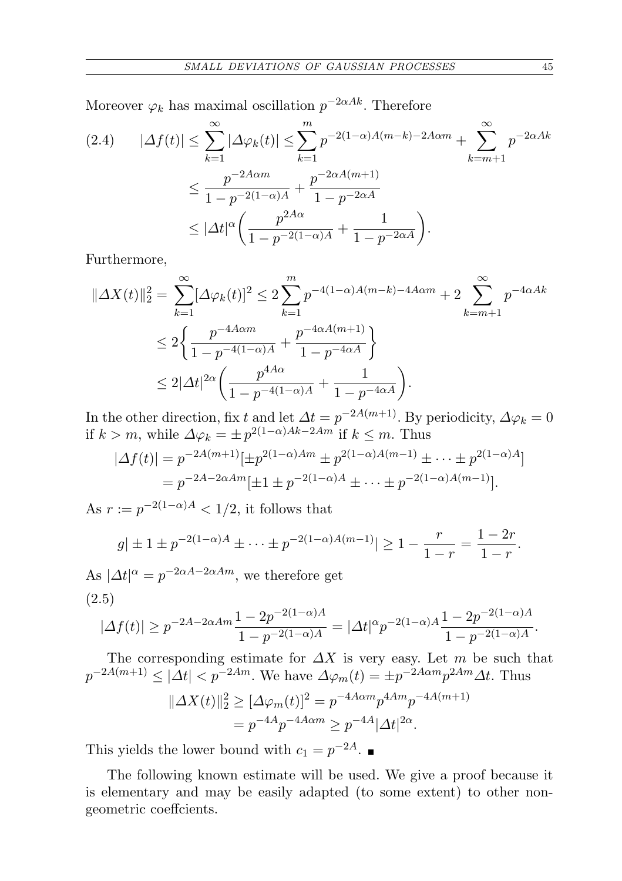Moreover  $\varphi_k$  has maximal oscillation  $p^{-2\alpha Ak}$ . Therefore

$$
(2.4) \qquad |\Delta f(t)| \leq \sum_{k=1}^{\infty} |\Delta \varphi_k(t)| \leq \sum_{k=1}^{m} p^{-2(1-\alpha)A(m-k)-2A\alpha m} + \sum_{k=m+1}^{\infty} p^{-2\alpha Ak} \n\leq \frac{p^{-2A\alpha m}}{1 - p^{-2(1-\alpha)A}} + \frac{p^{-2\alpha A(m+1)}}{1 - p^{-2\alpha A}} \n\leq |\Delta t|^{\alpha} \left( \frac{p^{2A\alpha}}{1 - p^{-2(1-\alpha)A}} + \frac{1}{1 - p^{-2\alpha A}} \right).
$$

Furthermore,

$$
\begin{split} \|\Delta X(t)\|_2^2 &= \sum_{k=1}^{\infty} [\Delta \varphi_k(t)]^2 \le 2 \sum_{k=1}^m p^{-4(1-\alpha)A(m-k)-4A\alpha m} + 2 \sum_{k=m+1}^{\infty} p^{-4\alpha Ak} \\ &\le 2 \bigg\{ \frac{p^{-4A\alpha m}}{1 - p^{-4(1-\alpha)A}} + \frac{p^{-4\alpha A(m+1)}}{1 - p^{-4\alpha A}} \bigg\} \\ &\le 2|\Delta t|^{2\alpha} \bigg( \frac{p^{4A\alpha}}{1 - p^{-4(1-\alpha)A}} + \frac{1}{1 - p^{-4\alpha A}} \bigg). \end{split}
$$

In the other direction, fix t and let  $\Delta t = p^{-2A(m+1)}$ . By periodicity,  $\Delta \varphi_k = 0$ if  $k > m$ , while  $\Delta \varphi_k = \pm p^{2(1-\alpha)Ak-2Am}$  if  $k \leq m$ . Thus

$$
|\Delta f(t)| = p^{-2A(m+1)} [\pm p^{2(1-\alpha)Am} \pm p^{2(1-\alpha)A(m-1)} \pm \cdots \pm p^{2(1-\alpha)A}]
$$
  
=  $p^{-2A-2\alpha Am} [\pm 1 \pm p^{-2(1-\alpha)A} \pm \cdots \pm p^{-2(1-\alpha)A(m-1)}].$ 

As  $r := p^{-2(1-\alpha)A} < 1/2$ , it follows that

$$
g| \pm 1 \pm p^{-2(1-\alpha)A} \pm \cdots \pm p^{-2(1-\alpha)A(m-1)}| \geq 1 - \frac{r}{1-r} = \frac{1-2r}{1-r}.
$$

As  $|\Delta t|^{\alpha} = p^{-2\alpha A - 2\alpha A m}$ , we therefore get (2.5) −2(1−α)A

$$
|\Delta f(t)| \ge p^{-2A - 2\alpha A m} \frac{1 - 2p^{-2(1 - \alpha)A}}{1 - p^{-2(1 - \alpha)A}} = |\Delta t|^{\alpha} p^{-2(1 - \alpha)A} \frac{1 - 2p^{-2(1 - \alpha)A}}{1 - p^{-2(1 - \alpha)A}}.
$$

The corresponding estimate for  $\Delta X$  is very easy. Let m be such that  $p^{-2A(m+1)} \leq |\Delta t| < p^{-2Am}$ . We have  $\Delta \varphi_m(t) = \pm p^{-2A\alpha m} p^{2Am} \Delta t$ . Thus  $\|\Delta X(t)\|_2^2 \geq [\Delta \varphi_m(t)]^2 = p^{-4A\alpha m} p^{4Am} p^{-4A(m+1)}$  $= p^{-4A} p^{-4A\alpha m} \geq p^{-4A} |\Delta t|^{2\alpha}.$ 

This yields the lower bound with  $c_1 = p^{-2A}$ .

<span id="page-4-0"></span>The following known estimate will be used. We give a proof because it is elementary and may be easily adapted (to some extent) to other nongeometric coeffcients.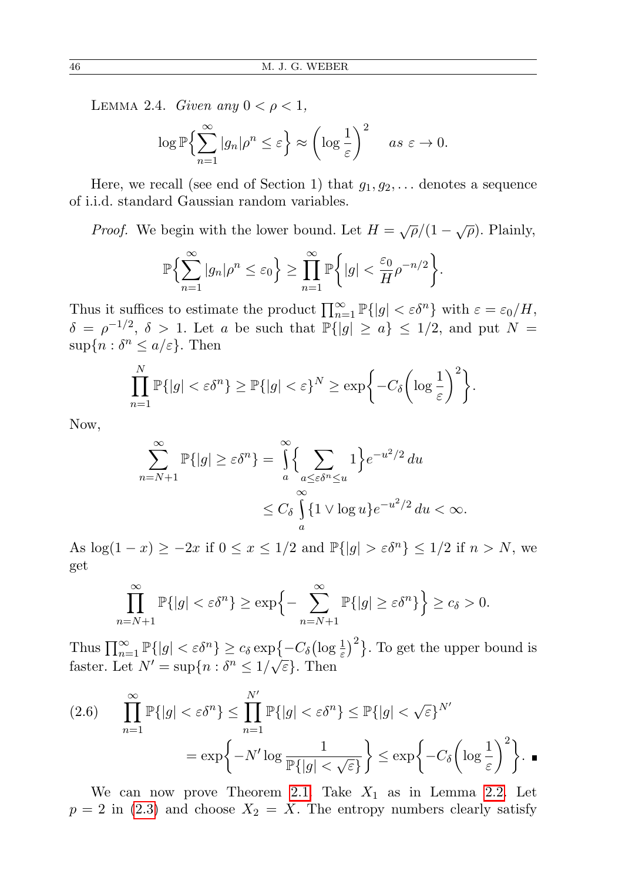LEMMA 2.4. Given any  $0 < \rho < 1$ ,

$$
\log \mathbb{P}\left\{\sum_{n=1}^{\infty} |g_n|\rho^n \leq \varepsilon\right\} \approx \left(\log \frac{1}{\varepsilon}\right)^2 \quad as \ \varepsilon \to 0.
$$

Here, we recall (see end of Section 1) that  $g_1, g_2, \ldots$  denotes a sequence of i.i.d. standard Gaussian random variables.

*Proof.* We begin with the lower bound. Let  $H = \sqrt{\rho}/(1-\sqrt{\rho})$ . Plainly,

$$
\mathbb{P}\Big\{\sum_{n=1}^{\infty}|g_n|\rho^n\leq\varepsilon_0\Big\}\geq\prod_{n=1}^{\infty}\mathbb{P}\Big\{|g|<\frac{\varepsilon_0}{H}\rho^{-n/2}\Big\}.
$$

Thus it suffices to estimate the product  $\prod_{n=1}^{\infty} \mathbb{P}\{|g| < \varepsilon \delta^n\}$  with  $\varepsilon = \varepsilon_0/H$ ,  $\delta = \rho^{-1/2}, \delta > 1$ . Let a be such that  $\mathbb{P}\{|g| \ge a\} \le 1/2$ , and put  $N =$  $\sup\{n : \delta^n \leq a/\varepsilon\}.$  Then

$$
\prod_{n=1}^N \mathbb{P}\{|g| < \varepsilon \delta^n\} \ge \mathbb{P}\{|g| < \varepsilon\}^N \ge \exp\bigg\{-C_\delta \bigg(\log \frac{1}{\varepsilon}\bigg)^2\bigg\}.
$$

Now,

$$
\sum_{n=N+1}^{\infty} \mathbb{P}\{|g| \ge \varepsilon \delta^n\} = \int_{a}^{\infty} \left\{ \sum_{\substack{a \le \varepsilon \delta^n \le u}} 1 \right\} e^{-u^2/2} du
$$
  

$$
\le C_\delta \int_{a}^{\infty} \{1 \vee \log u\} e^{-u^2/2} du < \infty.
$$

As  $\log(1-x) \ge -2x$  if  $0 \le x \le 1/2$  and  $\mathbb{P}\{|g| > \varepsilon \delta^n\} \le 1/2$  if  $n > N$ , we get

$$
\prod_{n=N+1}^{\infty} \mathbb{P}\{|g| < \varepsilon \delta^n\} \ge \exp\Big\{-\sum_{n=N+1}^{\infty} \mathbb{P}\{|g| \ge \varepsilon \delta^n\}\Big\} \ge c_{\delta} > 0.
$$

Thus  $\prod_{n=1}^{\infty} \mathbb{P}\{|g| < \varepsilon \delta^n\} \ge c_{\delta} \exp\left\{-C_{\delta} (\log \frac{1}{\varepsilon})^2\right\}$ . To get the upper bound is faster. Let  $N' = \sup\{n : \delta^n \leq 1/\sqrt{\varepsilon}\}\.$  Then

<span id="page-5-0"></span>
$$
(2.6) \qquad \prod_{n=1}^{\infty} \mathbb{P}\{|g| < \varepsilon \delta^n\} \le \prod_{n=1}^{N'} \mathbb{P}\{|g| < \varepsilon \delta^n\} \le \mathbb{P}\{|g| < \sqrt{\varepsilon}\}^{N'}
$$
\n
$$
= \exp\left\{-N'\log\frac{1}{\mathbb{P}\{|g| < \sqrt{\varepsilon}\}}\right\} \le \exp\left\{-C_{\delta}\left(\log\frac{1}{\varepsilon}\right)^2\right\}.\n\blacksquare
$$

We can now prove Theorem [2.1.](#page-2-3) Take  $X_1$  as in Lemma [2.2.](#page-3-0) Let  $p = 2$  in [\(2.3\)](#page-3-1) and choose  $X_2 = X$ . The entropy numbers clearly satisfy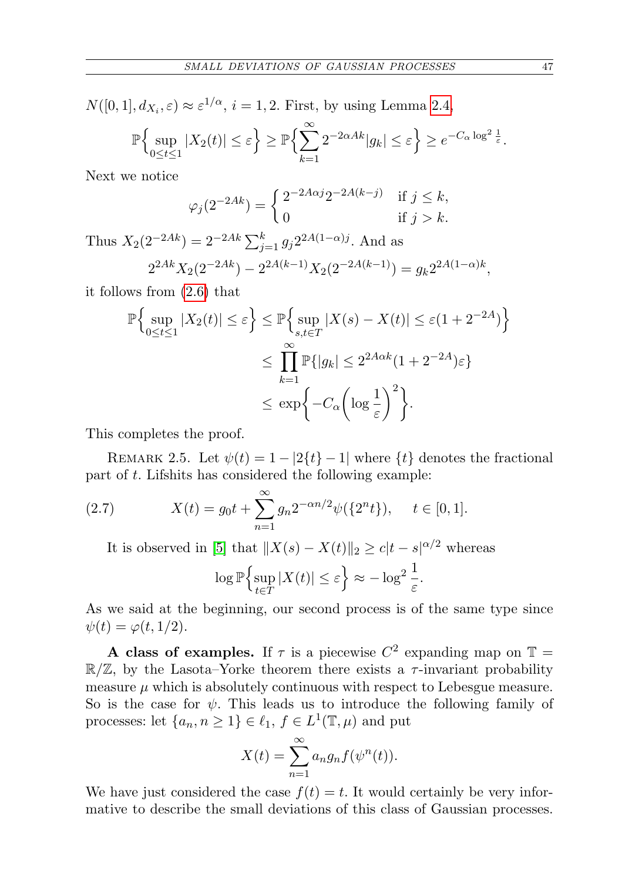$N([0, 1], d_{X_i}, \varepsilon) \approx \varepsilon^{1/\alpha}, i = 1, 2$ . First, by using Lemma [2.4,](#page-4-0)

$$
\mathbb{P}\Big\{\sup_{0\leq t\leq 1}|X_2(t)|\leq \varepsilon\Big\}\geq \mathbb{P}\Big\{\sum_{k=1}^{\infty}2^{-2\alpha A k}|g_k|\leq \varepsilon\Big\}\geq e^{-C_{\alpha}\log^2\frac{1}{\varepsilon}}.
$$

Next we notice

$$
\varphi_j(2^{-2Ak}) = \begin{cases} 2^{-2A\alpha j} 2^{-2A(k-j)} & \text{if } j \le k, \\ 0 & \text{if } j > k. \end{cases}
$$

Thus  $X_2(2^{-2Ak}) = 2^{-2Ak} \sum_{j=1}^k g_j 2^{2A(1-\alpha)j}$ . And as  $2^{2Ak}X_2(2^{-2Ak}) - 2^{2A(k-1)}X_2(2^{-2A(k-1)}) = g_k 2^{2A(1-\alpha)k},$ 

it follows from [\(2.6\)](#page-5-0) that

$$
\mathbb{P}\Big\{\sup_{0\leq t\leq 1}|X_2(t)|\leq \varepsilon\Big\} \leq \mathbb{P}\Big\{\sup_{s,t\in T}|X(s)-X(t)|\leq \varepsilon(1+2^{-2A})\Big\}
$$

$$
\leq \prod_{k=1}^{\infty} \mathbb{P}\{|g_k|\leq 2^{2A\alpha k}(1+2^{-2A})\varepsilon\}
$$

$$
\leq \exp\Big\{-C_{\alpha}\Big(\log\frac{1}{\varepsilon}\Big)^2\Big\}.
$$

This completes the proof.

REMARK 2.5. Let  $\psi(t) = 1 - 2\{t\} - 1$  where  $\{t\}$  denotes the fractional part of  $t$ . Lifshits has considered the following example:

(2.7) 
$$
X(t) = g_0 t + \sum_{n=1}^{\infty} g_n 2^{-\alpha n/2} \psi(\{2^n t\}), \quad t \in [0, 1].
$$

<span id="page-6-0"></span>It is observed in [\[5\]](#page-17-4) that  $||X(s) - X(t)||_2 \ge c|t - s|^{\alpha/2}$  whereas

$$
\log \mathbb{P}\Bigl\{\sup_{t \in T} |X(t)| \le \varepsilon\Bigr\} \approx -\log^2 \frac{1}{\varepsilon}.
$$

As we said at the beginning, our second process is of the same type since  $\psi(t) = \varphi(t, 1/2).$ 

**A** class of examples. If  $\tau$  is a piecewise  $C^2$  expanding map on  $\mathbb{T} =$  $\mathbb{R}/\mathbb{Z}$ , by the Lasota–Yorke theorem there exists a  $\tau$ -invariant probability measure  $\mu$  which is absolutely continuous with respect to Lebesgue measure. So is the case for  $\psi$ . This leads us to introduce the following family of processes: let  $\{a_n, n \geq 1\} \in \ell_1$ ,  $f \in L^1(\mathbb{T}, \mu)$  and put

$$
X(t) = \sum_{n=1}^{\infty} a_n g_n f(\psi^n(t)).
$$

We have just considered the case  $f(t) = t$ . It would certainly be very informative to describe the small deviations of this class of Gaussian processes.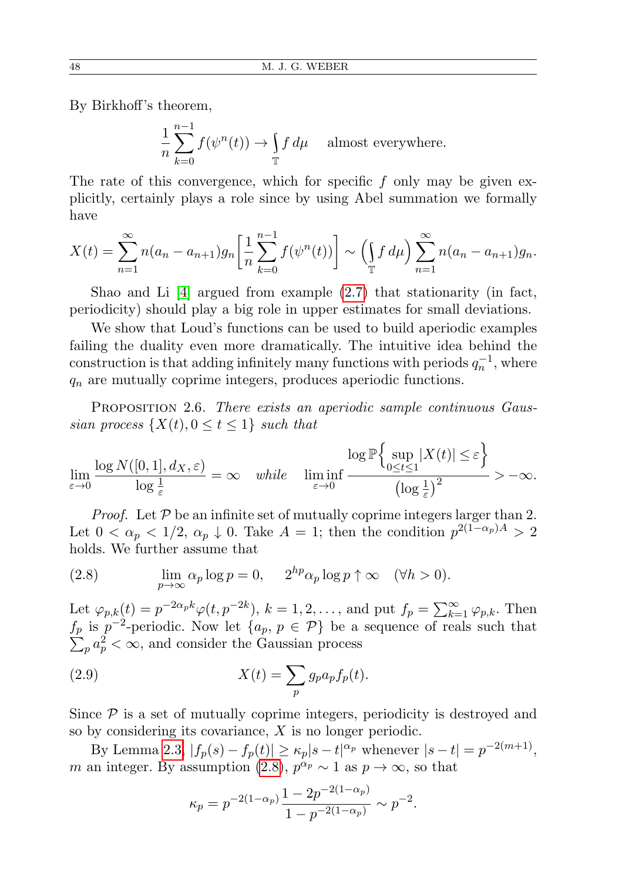By Birkhoff's theorem,

$$
\frac{1}{n}\sum_{k=0}^{n-1} f(\psi^n(t)) \to \int_{\mathbb{T}} f d\mu \quad \text{ almost everywhere.}
$$

The rate of this convergence, which for specific  $f$  only may be given explicitly, certainly plays a role since by using Abel summation we formally have

$$
X(t) = \sum_{n=1}^{\infty} n(a_n - a_{n+1}) g_n \left[ \frac{1}{n} \sum_{k=0}^{n-1} f(\psi^n(t)) \right] \sim \left( \int_{\mathbb{T}} f d\mu \right) \sum_{n=1}^{\infty} n(a_n - a_{n+1}) g_n.
$$

Shao and Li [\[4\]](#page-17-3) argued from example [\(2.7\)](#page-6-0) that stationarity (in fact, periodicity) should play a big role in upper estimates for small deviations.

We show that Loud's functions can be used to build aperiodic examples failing the duality even more dramatically. The intuitive idea behind the construction is that adding infinitely many functions with periods  $q_n^{-1}$ , where  $q_n$  are mutually coprime integers, produces aperiodic functions.

<span id="page-7-0"></span>PROPOSITION 2.6. There exists an aperiodic sample continuous Gaussian process  $\{X(t), 0 \le t \le 1\}$  such that

$$
\lim_{\varepsilon \to 0} \frac{\log N([0,1], d_X, \varepsilon)}{\log \frac{1}{\varepsilon}} = \infty \quad while \quad \liminf_{\varepsilon \to 0} \frac{\log \mathbb{P}\left\{\sup_{0 \le t \le 1} |X(t)| \le \varepsilon\right\}}{\left(\log \frac{1}{\varepsilon}\right)^2} > -\infty.
$$

*Proof.* Let  $P$  be an infinite set of mutually coprime integers larger than 2. Let  $0 < \alpha_p < 1/2$ ,  $\alpha_p \downarrow 0$ . Take  $A = 1$ ; then the condition  $p^{2(1-\alpha_p)A} > 2$ holds. We further assume that

<span id="page-7-1"></span>(2.8) 
$$
\lim_{p \to \infty} \alpha_p \log p = 0, \quad 2^{hp} \alpha_p \log p \uparrow \infty \quad (\forall h > 0).
$$

Let  $\varphi_{p,k}(t) = p^{-2\alpha_p k} \varphi(t, p^{-2k}), k = 1, 2, \ldots$ , and put  $f_p = \sum_{k=1}^{\infty} \varphi_{p,k}$ . Then  $f_p$  is  $p^{-2}$ -periodic. Now let  $\{a_p, p \in \mathcal{P}\}\$ be a sequence of reals such that  $\sum_{p} a_p^2 < \infty$ , and consider the Gaussian process

(2.9) 
$$
X(t) = \sum_{p} g_p a_p f_p(t).
$$

Since  $P$  is a set of mutually coprime integers, periodicity is destroyed and so by considering its covariance, X is no longer periodic.

By Lemma [2.3,](#page-3-2)  $|f_p(s) - f_p(t)| \ge \kappa_p |s - t|^{\alpha_p}$  whenever  $|s - t| = p^{-2(m+1)}$ , m an integer. By assumption [\(2.8\)](#page-7-1),  $p^{\alpha_p} \sim 1$  as  $p \to \infty$ , so that

$$
\kappa_p = p^{-2(1-\alpha_p)} \frac{1 - 2p^{-2(1-\alpha_p)}}{1 - p^{-2(1-\alpha_p)}} \sim p^{-2}.
$$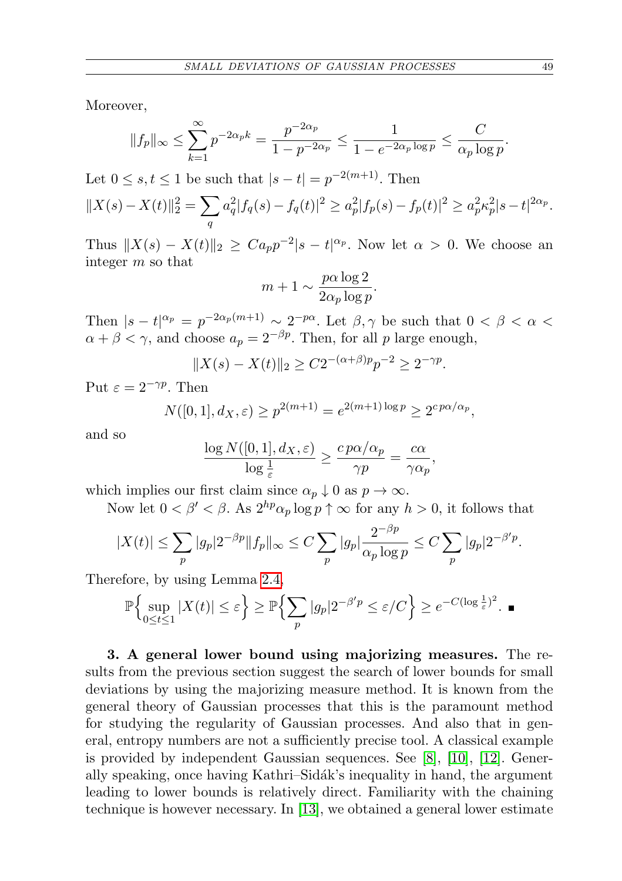Moreover,

$$
||f_p||_{\infty} \le \sum_{k=1}^{\infty} p^{-2\alpha_p k} = \frac{p^{-2\alpha_p}}{1 - p^{-2\alpha_p}} \le \frac{1}{1 - e^{-2\alpha_p \log p}} \le \frac{C}{\alpha_p \log p}.
$$

Let  $0 \leq s, t \leq 1$  be such that  $|s-t| = p^{-2(m+1)}$ . Then

$$
||X(s) - X(t)||_2^2 = \sum_q a_q^2 |f_q(s) - f_q(t)|^2 \ge a_p^2 |f_p(s) - f_p(t)|^2 \ge a_p^2 \kappa_p^2 |s - t|^{2\alpha_p}.
$$

Thus  $||X(s) - X(t)||_2 \geq C a_p p^{-2} |s - t|^{\alpha_p}$ . Now let  $\alpha > 0$ . We choose an integer m so that

$$
m+1 \sim \frac{p\alpha\log 2}{2\alpha_p\log p}.
$$

Then  $|s-t|^{\alpha_p} = p^{-2\alpha_p(m+1)} \sim 2^{-p\alpha}$ . Let  $\beta, \gamma$  be such that  $0 < \beta < \alpha <$  $\alpha + \beta < \gamma$ , and choose  $a_p = 2^{-\beta p}$ . Then, for all p large enough,

$$
||X(s) - X(t)||_2 \ge C2^{-(\alpha+\beta)p}p^{-2} \ge 2^{-\gamma p}.
$$

Put  $\varepsilon = 2^{-\gamma p}$ . Then

$$
N([0, 1], d_X, \varepsilon) \ge p^{2(m+1)} = e^{2(m+1)\log p} \ge 2^{c\,p\alpha/\alpha_p},
$$

and so

$$
\frac{\log N([0,1], d_X, \varepsilon)}{\log \frac{1}{\varepsilon}} \ge \frac{c p \alpha / \alpha_p}{\gamma p} = \frac{c \alpha}{\gamma \alpha_p},
$$

which implies our first claim since  $\alpha_p \downarrow 0$  as  $p \to \infty$ .

Now let  $0 < \beta' < \beta$ . As  $2^{hp} \alpha_p \log p \uparrow \infty$  for any  $h > 0$ , it follows that

$$
|X(t)| \le \sum_{p} |g_p| 2^{-\beta p} \|f_p\|_{\infty} \le C \sum_{p} |g_p| \frac{2^{-\beta p}}{\alpha_p \log p} \le C \sum_{p} |g_p| 2^{-\beta' p}.
$$

Therefore, by using Lemma [2.4,](#page-4-0)

$$
\mathbb{P}\Big\{\sup_{0\leq t\leq 1}|X(t)|\leq \varepsilon\Big\}\geq \mathbb{P}\Big\{\sum_{p}|g_p|2^{-\beta' p}\leq \varepsilon/C\Big\}\geq e^{-C(\log\frac{1}{\varepsilon})^2}.\quad \blacksquare
$$

<span id="page-8-0"></span>3. A general lower bound using majorizing measures. The results from the previous section suggest the search of lower bounds for small deviations by using the majorizing measure method. It is known from the general theory of Gaussian processes that this is the paramount method for studying the regularity of Gaussian processes. And also that in general, entropy numbers are not a sufficiently precise tool. A classical example is provided by independent Gaussian sequences. See [\[8\]](#page-17-7), [\[10\]](#page-18-1), [\[12\]](#page-18-2). Generally speaking, once having Kathri–Sidák's inequality in hand, the argument leading to lower bounds is relatively direct. Familiarity with the chaining technique is however necessary. In [\[13\]](#page-18-3), we obtained a general lower estimate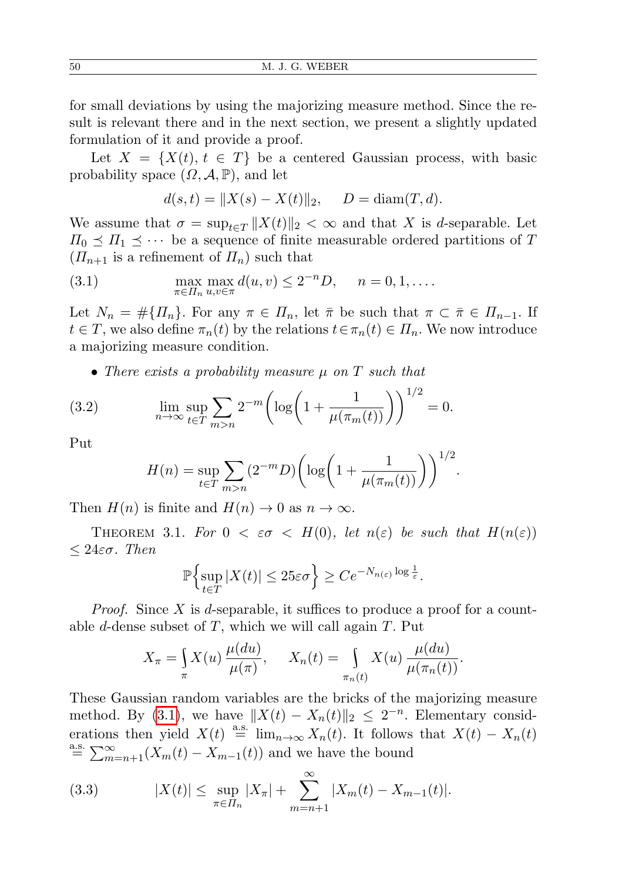for small deviations by using the majorizing measure method. Since the result is relevant there and in the next section, we present a slightly updated formulation of it and provide a proof.

Let  $X = \{X(t), t \in T\}$  be a centered Gaussian process, with basic probability space  $(\Omega, \mathcal{A}, \mathbb{P})$ , and let

<span id="page-9-0"></span>
$$
d(s,t) = \|X(s) - X(t)\|_2, \quad D = \text{diam}(T, d).
$$

We assume that  $\sigma = \sup_{t \in \mathcal{T}} ||X(t)||_2 < \infty$  and that X is d-separable. Let  $\Pi_0 \preceq \Pi_1 \preceq \cdots$  be a sequence of finite measurable ordered partitions of T  $(\Pi_{n+1}$  is a refinement of  $\Pi_n$ ) such that

(3.1) 
$$
\max_{\pi \in \Pi_n} \max_{u,v \in \pi} d(u,v) \leq 2^{-n} D, \quad n = 0, 1, ....
$$

Let  $N_n = \#\{H_n\}$ . For any  $\pi \in H_n$ , let  $\bar{\pi}$  be such that  $\pi \subset \bar{\pi} \in H_{n-1}$ . If  $t \in T$ , we also define  $\pi_n(t)$  by the relations  $t \in \pi_n(t) \in \Pi_n$ . We now introduce a majorizing measure condition.

• There exists a probability measure  $\mu$  on T such that

(3.2) 
$$
\lim_{n \to \infty} \sup_{t \in T} \sum_{m > n} 2^{-m} \left( \log \left( 1 + \frac{1}{\mu(\pi_m(t))} \right) \right)^{1/2} = 0.
$$

Put

<span id="page-9-3"></span>
$$
H(n) = \sup_{t \in T} \sum_{m > n} (2^{-m} D) \left( \log \left( 1 + \frac{1}{\mu(\pi_m(t))} \right) \right)^{1/2}.
$$

Then  $H(n)$  is finite and  $H(n) \to 0$  as  $n \to \infty$ .

<span id="page-9-2"></span>THEOREM 3.1. For  $0 < \varepsilon \sigma < H(0)$ , let  $n(\varepsilon)$  be such that  $H(n(\varepsilon))$  $\leq 24 \varepsilon \sigma$ . Then

$$
\mathbb{P}\Bigl\{\sup_{t\in T}|X(t)|\leq 25\varepsilon\sigma\Bigr\}\geq Ce^{-N_{n(\varepsilon)}\log\frac{1}{\varepsilon}}.
$$

*Proof.* Since X is d-separable, it suffices to produce a proof for a countable d-dense subset of  $T$ , which we will call again  $T$ . Put

$$
X_{\pi} = \int_{\pi} X(u) \frac{\mu(du)}{\mu(\pi)}, \quad X_n(t) = \int_{\pi_n(t)} X(u) \frac{\mu(du)}{\mu(\pi_n(t))}.
$$

These Gaussian random variables are the bricks of the majorizing measure method. By [\(3.1\)](#page-9-0), we have  $||X(t) - X_n(t)||_2 \leq 2^{-n}$ . Elementary considerations then yield  $X(t) \stackrel{\text{a.s.}}{=} \lim_{n\to\infty} X_n(t)$ . It follows that  $X(t) - X_n(t)$ <sup>a.s.</sup>  $\sum_{m=n+1}^{\infty} (X_m(t) - X_{m-1}(t))$  and we have the bound

<span id="page-9-1"></span>(3.3) 
$$
|X(t)| \leq \sup_{\pi \in \Pi_n} |X_{\pi}| + \sum_{m=n+1}^{\infty} |X_m(t) - X_{m-1}(t)|.
$$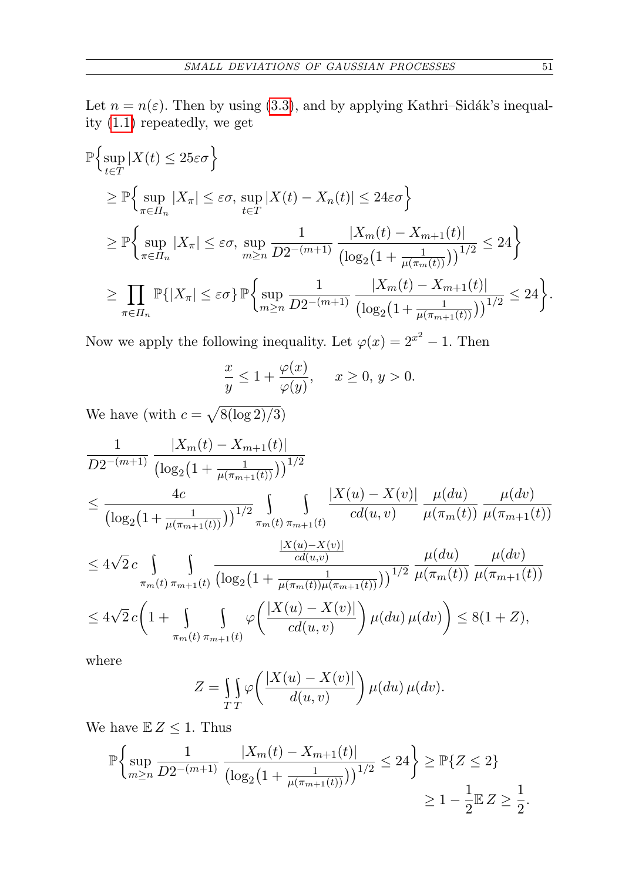Let  $n = n(\varepsilon)$ . Then by using [\(3.3\)](#page-9-1), and by applying Kathri–Sidák's inequality [\(1.1\)](#page-1-0) repeatedly, we get

$$
\mathbb{P}\Big\{\sup_{t\in T}|X(t) \leq 25\varepsilon\sigma\Big\}
$$
\n
$$
\geq \mathbb{P}\Big\{\sup_{\pi\in\Pi_n}|X_{\pi}| \leq \varepsilon\sigma, \sup_{t\in T}|X(t) - X_n(t)| \leq 24\varepsilon\sigma\Big\}
$$
\n
$$
\geq \mathbb{P}\Big\{\sup_{\pi\in\Pi_n}|X_{\pi}| \leq \varepsilon\sigma, \sup_{m\geq n}\frac{1}{D2^{-(m+1)}}\frac{|X_m(t) - X_{m+1}(t)|}{(\log_2(1 + \frac{1}{\mu(\pi_m(t))}))^{1/2}} \leq 24\Big\}
$$
\n
$$
\geq \prod_{\pi\in\Pi_n}\mathbb{P}\{|X_{\pi}| \leq \varepsilon\sigma\}\,\mathbb{P}\Big\{\sup_{m\geq n}\frac{1}{D2^{-(m+1)}}\frac{|X_m(t) - X_{m+1}(t)|}{(\log_2(1 + \frac{1}{\mu(\pi_{m+1}(t))}))^{1/2}} \leq 24\Big\}.
$$

Now we apply the following inequality. Let  $\varphi(x) = 2^{x^2} - 1$ . Then

$$
\frac{x}{y} \le 1 + \frac{\varphi(x)}{\varphi(y)}, \quad x \ge 0, y > 0.
$$

We have (with  $c = \sqrt{8(\log 2)/3}$ )

$$
\frac{1}{D2^{-(m+1)}} \frac{|X_m(t) - X_{m+1}(t)|}{(\log_2(1 + \frac{1}{\mu(\pi_{m+1}(t))}))^{1/2}}\n\leq \frac{4c}{\left(\log_2(1 + \frac{1}{\mu(\pi_{m+1}(t))})\right)^{1/2}} \int_{\pi_m(t) \pi_{m+1}(t)} \frac{|X(u) - X(v)|}{cd(u,v)} \frac{\mu(du)}{\mu(\pi_m(t))} \frac{\mu(dv)}{\mu(\pi_{m+1}(t))}\n\leq 4\sqrt{2}c \int_{\pi_m(t) \pi_{m+1}(t)} \frac{\frac{|X(u) - X(v)|}{cd(u,v)}}{\left(\log_2(1 + \frac{1}{\mu(\pi_m(t))\mu(\pi_{m+1}(t))})\right)^{1/2}} \frac{\mu(du)}{\mu(\pi_m(t))} \frac{\mu(dv)}{\mu(\pi_{m+1}(t))}\n\leq 4\sqrt{2}c \left(1 + \int_{\pi_m(t) \pi_{m+1}(t)} \frac{\mu(\mu(u))}{cd(u,v)} \mu(du) \mu(dv)\right) \leq 8(1 + Z),
$$

where

$$
Z = \iint_{TT} \varphi\left(\frac{|X(u) - X(v)|}{d(u, v)}\right) \mu(du) \mu(dv).
$$

We have  $\mathbb{E} Z \leq 1$ . Thus

$$
\mathbb{P}\left\{\sup_{m\geq n} \frac{1}{D2^{-(m+1)}} \frac{|X_m(t) - X_{m+1}(t)|}{\left(\log_2\left(1 + \frac{1}{\mu(\pi_{m+1}(t))}\right)\right)^{1/2}} \leq 24\right\} \geq \mathbb{P}\left\{Z \leq 2\right\}
$$

$$
\geq 1 - \frac{1}{2}\mathbb{E}\left\{Z \geq \frac{1}{2}.\right\}
$$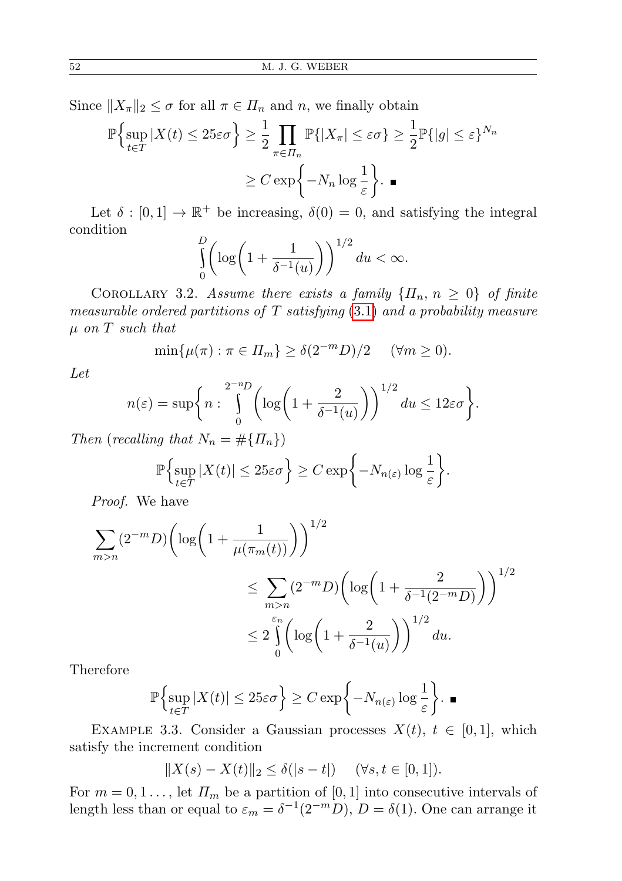Since  $||X_{\pi}||_2 \leq \sigma$  for all  $\pi \in \Pi_n$  and n, we finally obtain

$$
\mathbb{P}\Big\{\sup_{t\in T}|X(t)\leq 25\varepsilon\sigma\Big\}\geq \frac{1}{2}\prod_{\pi\in\mathcal{H}_n}\mathbb{P}\{|X_\pi|\leq \varepsilon\sigma\}\geq \frac{1}{2}\mathbb{P}\{|g|\leq \varepsilon\}^{N_n}
$$

$$
\geq C\exp\bigg\{-N_n\log\frac{1}{\varepsilon}\bigg\}.\blacksquare
$$

Let  $\delta : [0,1] \to \mathbb{R}^+$  be increasing,  $\delta(0) = 0$ , and satisfying the integral condition

$$
\int_{0}^{D} \left( \log \left( 1 + \frac{1}{\delta^{-1}(u)} \right) \right)^{1/2} du < \infty.
$$

<span id="page-11-0"></span>COROLLARY 3.2. Assume there exists a family  $\{ \Pi_n, n \geq 0 \}$  of finite measurable ordered partitions of  $T$  satisfying  $(3.1)$  $(3.1)$  and a probability measure  $\mu$  on T such that

$$
\min\{\mu(\pi): \pi \in \Pi_m\} \ge \delta(2^{-m}D)/2 \quad (\forall m \ge 0).
$$

Let

$$
n(\varepsilon) = \sup \bigg\{ n : \int_{0}^{2-n} \bigg( \log \bigg( 1 + \frac{2}{\delta^{-1}(u)} \bigg) \bigg)^{1/2} du \le 12\varepsilon\sigma \bigg\}.
$$

Then (recalling that  $N_n = \#\{ \Pi_n \}$ )

$$
\mathbb{P}\Bigl\{\sup_{t\in T}|X(t)|\leq 25\varepsilon\sigma\Bigr\}\geq C\exp\biggl\{-N_{n(\varepsilon)}\log\frac{1}{\varepsilon}\biggr\}.
$$

Proof. We have

$$
\sum_{m>n} (2^{-m}D) \left( \log \left( 1 + \frac{1}{\mu(\pi_m(t))} \right) \right)^{1/2}
$$
  

$$
\leq \sum_{m>n} (2^{-m}D) \left( \log \left( 1 + \frac{2}{\delta^{-1}(2^{-m}D)} \right) \right)^{1/2}
$$
  

$$
\leq 2 \int_{0}^{\varepsilon_n} \left( \log \left( 1 + \frac{2}{\delta^{-1}(u)} \right) \right)^{1/2} du.
$$

Therefore

$$
\mathbb{P}\Big\{\sup_{t\in T}|X(t)|\leq 25\varepsilon\sigma\Big\}\geq C\exp\bigg\{-N_{n(\varepsilon)}\log\frac{1}{\varepsilon}\bigg\}.\quad \blacksquare
$$

EXAMPLE 3.3. Consider a Gaussian processes  $X(t)$ ,  $t \in [0,1]$ , which satisfy the increment condition

$$
||X(s) - X(t)||_2 \le \delta(|s - t|) \quad (\forall s, t \in [0, 1]).
$$

For  $m = 0, 1, \ldots$ , let  $\mathcal{I}_m$  be a partition of [0, 1] into consecutive intervals of length less than or equal to  $\varepsilon_m = \delta^{-1}(2^{-m}D)$ ,  $D = \delta(1)$ . One can arrange it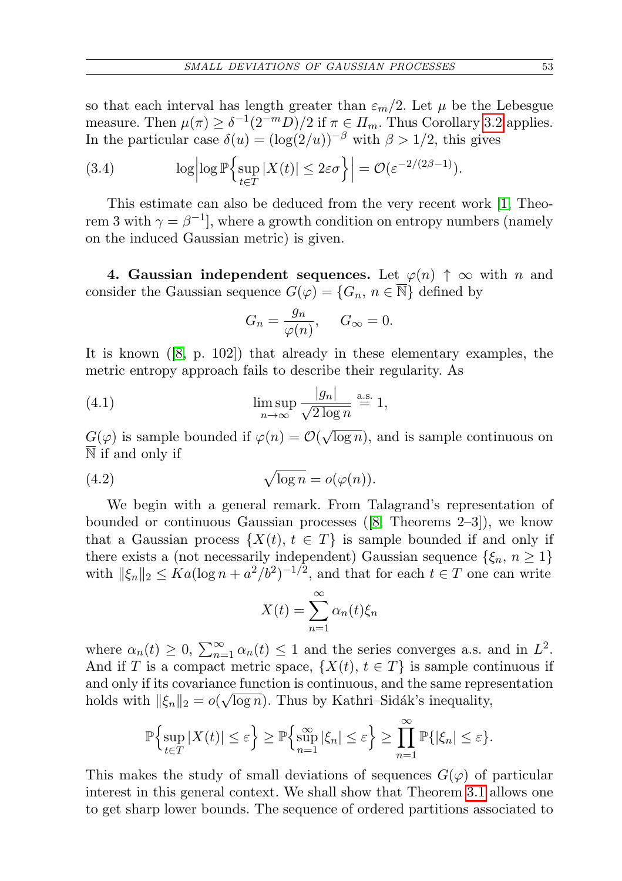so that each interval has length greater than  $\varepsilon_m/2$ . Let  $\mu$  be the Lebesgue measure. Then  $\mu(\pi) \geq \delta^{-1}(2^{-m}D)/2$  if  $\pi \in \Pi_m$ . Thus Corollary [3.2](#page-11-0) applies. In the particular case  $\delta(u) = (\log(2/u))^{-\beta}$  with  $\beta > 1/2$ , this gives

(3.4) 
$$
\log \left| \log \mathbb{P} \left\{ \sup_{t \in T} |X(t)| \leq 2\varepsilon \sigma \right\} \right| = \mathcal{O}(\varepsilon^{-2/(2\beta - 1)}).
$$

This estimate can also be deduced from the very recent work [\[1,](#page-17-2) Theorem 3 with  $\gamma = \beta^{-1}$ , where a growth condition on entropy numbers (namely on the induced Gaussian metric) is given.

4. Gaussian independent sequences. Let  $\varphi(n) \uparrow \infty$  with n and consider the Gaussian sequence  $G(\varphi) = \{G_n, n \in \overline{\mathbb{N}}\}\$  defined by

$$
G_n = \frac{g_n}{\varphi(n)}, \quad G_{\infty} = 0.
$$

It is known ([\[8,](#page-17-7) p. 102]) that already in these elementary examples, the metric entropy approach fails to describe their regularity. As

(4.1) 
$$
\limsup_{n \to \infty} \frac{|g_n|}{\sqrt{2 \log n}} \stackrel{\text{a.s.}}{=} 1,
$$

 $G(\varphi)$  is sample bounded if  $\varphi(n) = \mathcal{O}(\varphi)$ √  $\overline{\log n}$ , and is sample continuous on  $\overline{\mathbb{N}}$  if and only if

(4.2) 
$$
\sqrt{\log n} = o(\varphi(n)).
$$

We begin with a general remark. From Talagrand's representation of bounded or continuous Gaussian processes  $([8,$  $([8,$  Theorems  $2-3]$ , we know that a Gaussian process  $\{X(t), t \in T\}$  is sample bounded if and only if there exists a (not necessarily independent) Gaussian sequence  $\{\xi_n, n \geq 1\}$ with  $\|\xi_n\|_2 \leq Ka(\log n + a^2/b^2)^{-1/2}$ , and that for each  $t \in T$  one can write

<span id="page-12-0"></span>
$$
X(t) = \sum_{n=1}^{\infty} \alpha_n(t) \xi_n
$$

where  $\alpha_n(t) \geq 0$ ,  $\sum_{n=1}^{\infty} \alpha_n(t) \leq 1$  and the series converges a.s. and in  $L^2$ . And if T is a compact metric space,  $\{X(t), t \in T\}$  is sample continuous if and only if its covariance function is continuous, and the same representation holds with  $\|\xi_n\|_2 = o(\sqrt{\log n})$ . Thus by Kathri–Sidák's inequality,

$$
\mathbb{P}\Bigl\{\sup_{t\in T}|X(t)|\leq \varepsilon\Bigr\}\geq \mathbb{P}\Bigl\{\sup_{n=1}^{\infty}|\xi_n|\leq \varepsilon\Bigr\}\geq \prod_{n=1}^{\infty}\mathbb{P}\{|\xi_n|\leq \varepsilon\}.
$$

This makes the study of small deviations of sequences  $G(\varphi)$  of particular interest in this general context. We shall show that Theorem [3.1](#page-9-2) allows one to get sharp lower bounds. The sequence of ordered partitions associated to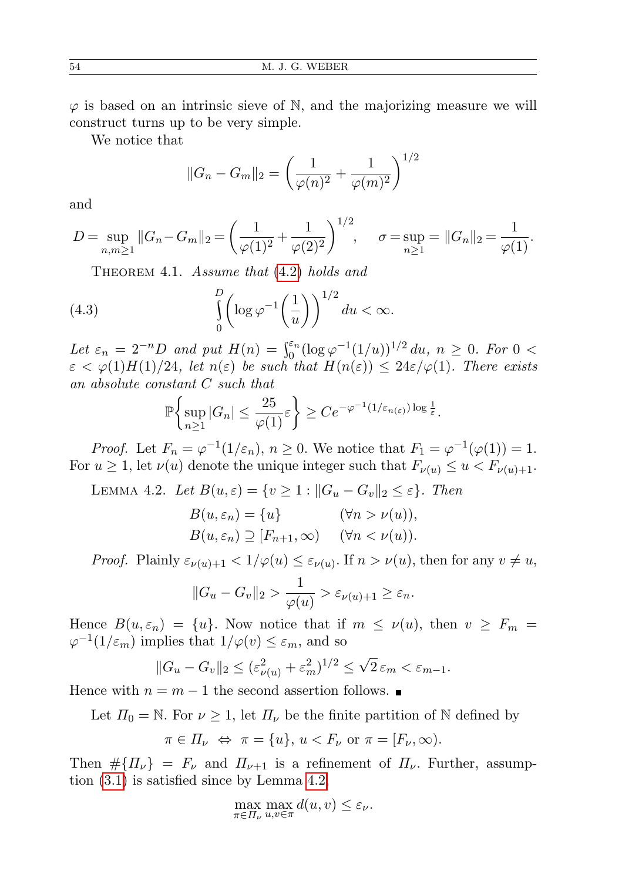$\varphi$  is based on an intrinsic sieve of N, and the majorizing measure we will construct turns up to be very simple.

We notice that

$$
||G_n - G_m||_2 = \left(\frac{1}{\varphi(n)^2} + \frac{1}{\varphi(m)^2}\right)^{1/2}
$$

and

$$
D = \sup_{n,m \ge 1} ||G_n - G_m||_2 = \left(\frac{1}{\varphi(1)^2} + \frac{1}{\varphi(2)^2}\right)^{1/2}, \quad \sigma = \sup_{n \ge 1} ||G_n||_2 = \frac{1}{\varphi(1)}.
$$

THEOREM 4.1. Assume that  $(4.2)$  $(4.2)$  holds and

(4.3) 
$$
\int_{0}^{D} \left(\log \varphi^{-1}\left(\frac{1}{u}\right)\right)^{1/2} du < \infty.
$$

Let  $\varepsilon_n = 2^{-n}D$  and put  $H(n) = \int_0^{\varepsilon_n} (\log \varphi^{-1}(1/u))^{1/2} du$ ,  $n \ge 0$ . For  $0 <$  $\varepsilon < \varphi(1)H(1)/24$ , let  $n(\varepsilon)$  be such that  $H(n(\varepsilon)) \leq 24\varepsilon/\varphi(1)$ . There exists an absolute constant C such that

$$
\mathbb{P}\left\{\sup_{n\geq 1}|G_n|\leq \frac{25}{\varphi(1)}\varepsilon\right\}\geq Ce^{-\varphi^{-1}(1/\varepsilon_{n(\varepsilon)})\log\frac{1}{\varepsilon}}.
$$

*Proof.* Let  $F_n = \varphi^{-1}(1/\varepsilon_n)$ ,  $n \ge 0$ . We notice that  $F_1 = \varphi^{-1}(\varphi(1)) = 1$ . For  $u \geq 1$ , let  $\nu(u)$  denote the unique integer such that  $F_{\nu(u)} \leq u < F_{\nu(u)+1}$ .

<span id="page-13-0"></span>LEMMA 4.2. Let  $B(u,\varepsilon) = \{v \geq 1 : ||G_u - G_v||_2 \leq \varepsilon\}$ . Then

$$
B(u, \varepsilon_n) = \{u\} \qquad (\forall n > \nu(u)),
$$
  

$$
B(u, \varepsilon_n) \supseteq [F_{n+1}, \infty) \qquad (\forall n < \nu(u)).
$$

*Proof.* Plainly  $\varepsilon_{\nu(u)+1} < 1/\varphi(u) \leq \varepsilon_{\nu(u)}$ . If  $n > \nu(u)$ , then for any  $v \neq u$ ,

$$
||G_u - G_v||_2 > \frac{1}{\varphi(u)} > \varepsilon_{\nu(u)+1} \ge \varepsilon_n.
$$

Hence  $B(u, \varepsilon_n) = \{u\}$ . Now notice that if  $m \le \nu(u)$ , then  $v \ge F_m =$  $\varphi^{-1}(1/\varepsilon_m)$  implies that  $1/\varphi(v) \leq \varepsilon_m$ , and so

$$
||G_u - G_v||_2 \leq (\varepsilon_{\nu(u)}^2 + \varepsilon_m^2)^{1/2} \leq \sqrt{2} \varepsilon_m < \varepsilon_{m-1}.
$$

Hence with  $n = m - 1$  the second assertion follows. ■

Let  $\Pi_0 = \mathbb{N}$ . For  $\nu \geq 1$ , let  $\Pi_{\nu}$  be the finite partition of N defined by

$$
\pi \in \Pi_{\nu} \iff \pi = \{u\}, u < F_{\nu} \text{ or } \pi = [F_{\nu}, \infty).
$$

Then  $\#\{\Pi_{\nu}\} = F_{\nu}$  and  $\Pi_{\nu+1}$  is a refinement of  $\Pi_{\nu}$ . Further, assumption [\(3.1\)](#page-9-0) is satisfied since by Lemma [4.2,](#page-13-0)

$$
\max_{\pi \in \Pi_{\nu}} \max_{u,v \in \pi} d(u,v) \le \varepsilon_{\nu}.
$$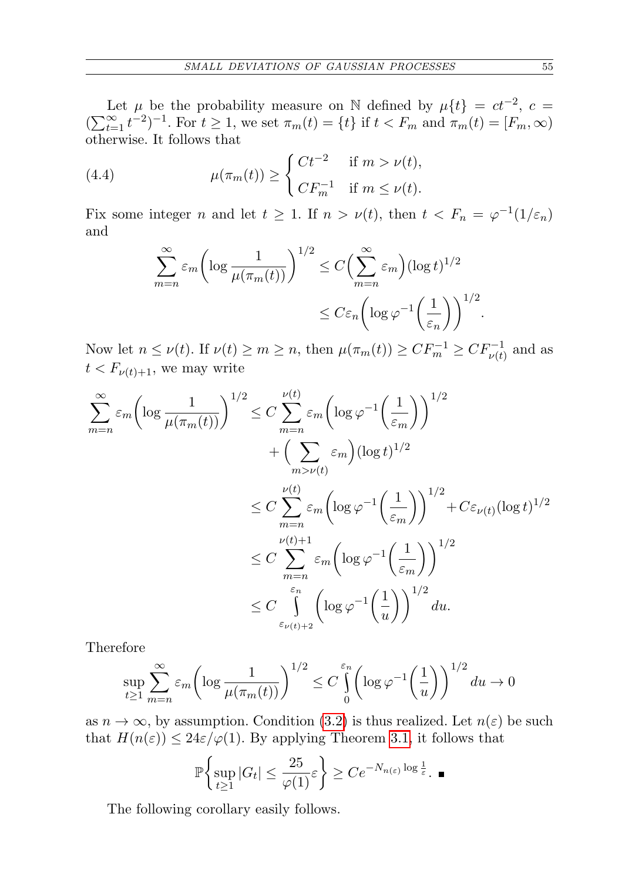Let  $\mu$  be the probability measure on N defined by  $\mu\{t\} = ct^{-2}$ ,  $c =$  $(\sum_{t=1}^{\infty} t^{-2})^{-1}$ . For  $t \ge 1$ , we set  $\pi_m(t) = \{t\}$  if  $t < F_m$  and  $\pi_m(t) = [F_m, \infty)$ otherwise. It follows that

(4.4) 
$$
\mu(\pi_m(t)) \ge \begin{cases} Ct^{-2} & \text{if } m > \nu(t), \\ CF_m^{-1} & \text{if } m \le \nu(t). \end{cases}
$$

Fix some integer *n* and let  $t \geq 1$ . If  $n > \nu(t)$ , then  $t < F_n = \varphi^{-1}(1/\varepsilon_n)$ and

$$
\sum_{m=n}^{\infty} \varepsilon_m \left( \log \frac{1}{\mu(\pi_m(t))} \right)^{1/2} \le C \left( \sum_{m=n}^{\infty} \varepsilon_m \right) (\log t)^{1/2}
$$

$$
\le C \varepsilon_n \left( \log \varphi^{-1} \left( \frac{1}{\varepsilon_n} \right) \right)^{1/2}.
$$

Now let  $n \le \nu(t)$ . If  $\nu(t) \ge m \ge n$ , then  $\mu(\pi_m(t)) \ge CF_m^{-1} \ge CF_{\nu(t)}^{-1}$  and as  $t < F_{\nu(t)+1}$ , we may write

$$
\sum_{m=n}^{\infty} \varepsilon_m \left( \log \frac{1}{\mu(\pi_m(t))} \right)^{1/2} \leq C \sum_{m=n}^{\nu(t)} \varepsilon_m \left( \log \varphi^{-1} \left( \frac{1}{\varepsilon_m} \right) \right)^{1/2} \n+ \left( \sum_{m>\nu(t)} \varepsilon_m \right) (\log t)^{1/2} \n\leq C \sum_{m=n}^{\nu(t)} \varepsilon_m \left( \log \varphi^{-1} \left( \frac{1}{\varepsilon_m} \right) \right)^{1/2} + C \varepsilon_{\nu(t)} (\log t)^{1/2} \n\leq C \sum_{m=n}^{\nu(t)+1} \varepsilon_m \left( \log \varphi^{-1} \left( \frac{1}{\varepsilon_m} \right) \right)^{1/2} \n\leq C \int_{\varepsilon_{\nu(t)+2}}^{\varepsilon_n} \left( \log \varphi^{-1} \left( \frac{1}{u} \right) \right)^{1/2} du.
$$

Therefore

$$
\sup_{t\geq 1}\sum_{m=n}^{\infty}\varepsilon_m\bigg(\log\frac{1}{\mu(\pi_m(t))}\bigg)^{1/2}\leq C\int_{0}^{\varepsilon_n}\bigg(\log\varphi^{-1}\bigg(\frac{1}{u}\bigg)\bigg)^{1/2}\,du\to 0
$$

as  $n \to \infty$ , by assumption. Condition [\(3.2\)](#page-9-3) is thus realized. Let  $n(\varepsilon)$  be such that  $H(n(\varepsilon)) \leq 24\varepsilon/\varphi(1)$ . By applying Theorem [3.1,](#page-9-2) it follows that

$$
\mathbb{P}\left\{\sup_{t\geq 1}|G_t| \leq \frac{25}{\varphi(1)}\varepsilon\right\} \geq Ce^{-N_{n(\varepsilon)}\log\frac{1}{\varepsilon}}.\quad \blacksquare
$$

The following corollary easily follows.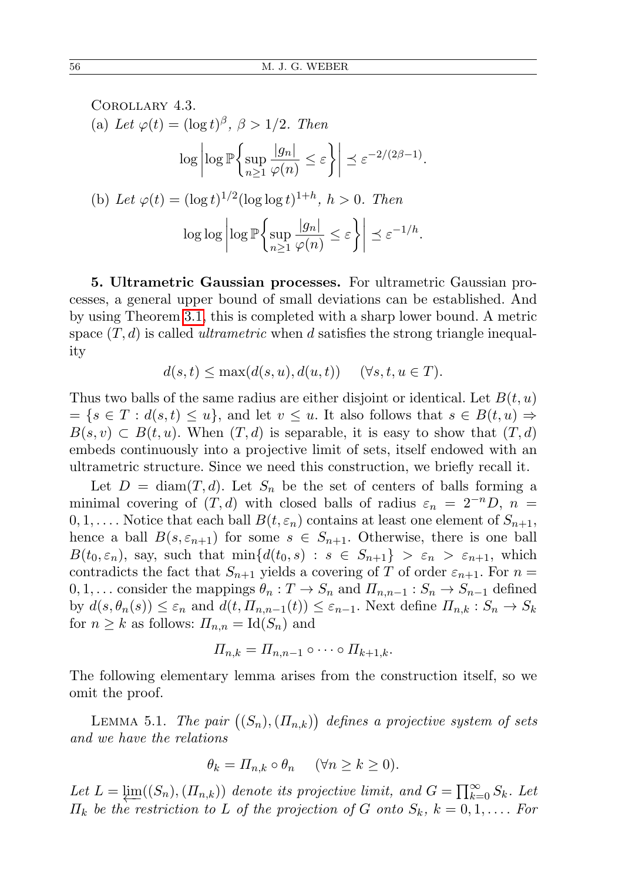COROLLARY 4.3.  
\n(a) Let 
$$
\varphi(t) = (\log t)^{\beta}, \ \beta > 1/2
$$
. Then  
\n
$$
\log \left| \log \mathbb{P} \left\{ \sup_{n \geq 1} \frac{|g_n|}{\varphi(n)} \leq \varepsilon \right\} \right| \leq \varepsilon^{-2/(2\beta - 1)}.
$$
\n(b) Let  $\varphi(t) = (\log t)^{1/2} (\log \log t)^{1+h}, \ h > 0$ . Then  
\n
$$
\log \log \left| \log \mathbb{P} \left\{ \sup_{n \geq 1} \frac{|g_n|}{\varphi(n)} \leq \varepsilon \right\} \right| \leq \varepsilon^{-1/h}.
$$

5. Ultrametric Gaussian processes. For ultrametric Gaussian processes, a general upper bound of small deviations can be established. And by using Theorem [3.1,](#page-9-2) this is completed with a sharp lower bound. A metric space  $(T, d)$  is called *ultrametric* when d satisfies the strong triangle inequality

$$
d(s,t) \le \max(d(s,u), d(u,t)) \quad (\forall s, t, u \in T).
$$

Thus two balls of the same radius are either disjoint or identical. Let  $B(t, u)$  $=\{s \in T : d(s,t) \leq u\}$ , and let  $v \leq u$ . It also follows that  $s \in B(t,u) \Rightarrow$  $B(s, v) \subset B(t, u)$ . When  $(T, d)$  is separable, it is easy to show that  $(T, d)$ embeds continuously into a projective limit of sets, itself endowed with an ultrametric structure. Since we need this construction, we briefly recall it.

Let  $D = \text{diam}(T, d)$ . Let  $S_n$  be the set of centers of balls forming a minimal covering of  $(T, d)$  with closed balls of radius  $\varepsilon_n = 2^{-n}D$ ,  $n =$  $0, 1, \ldots$ . Notice that each ball  $B(t, \varepsilon_n)$  contains at least one element of  $S_{n+1}$ , hence a ball  $B(s, \varepsilon_{n+1})$  for some  $s \in S_{n+1}$ . Otherwise, there is one ball  $B(t_0, \varepsilon_n)$ , say, such that  $\min\{d(t_0, s) : s \in S_{n+1}\} > \varepsilon_n > \varepsilon_{n+1}$ , which contradicts the fact that  $S_{n+1}$  yields a covering of T of order  $\varepsilon_{n+1}$ . For  $n =$  $0, 1, \ldots$  consider the mappings  $\theta_n : T \to S_n$  and  $\Pi_{n,n-1} : S_n \to S_{n-1}$  defined by  $d(s, \theta_n(s)) \leq \varepsilon_n$  and  $d(t, \Pi_{n,n-1}(t)) \leq \varepsilon_{n-1}$ . Next define  $\Pi_{n,k}: S_n \to S_k$ for  $n \geq k$  as follows:  $\Pi_{n,n} = \text{Id}(S_n)$  and

$$
\Pi_{n,k} = \Pi_{n,n-1} \circ \cdots \circ \Pi_{k+1,k}.
$$

The following elementary lemma arises from the construction itself, so we omit the proof.

LEMMA 5.1. The pair  $((S_n), (I_{n,k}))$  defines a projective system of sets and we have the relations

$$
\theta_k = \Pi_{n,k} \circ \theta_n \quad (\forall n \ge k \ge 0).
$$

Let  $L = \varprojlim((S_n), (H_{n,k}))$  denote its projective limit, and  $G = \prod_{k=0}^{\infty} S_k$ . Let  $\Pi_k$  be the restriction to L of the projection of G onto  $S_k$ ,  $k = 0, 1, \ldots$  For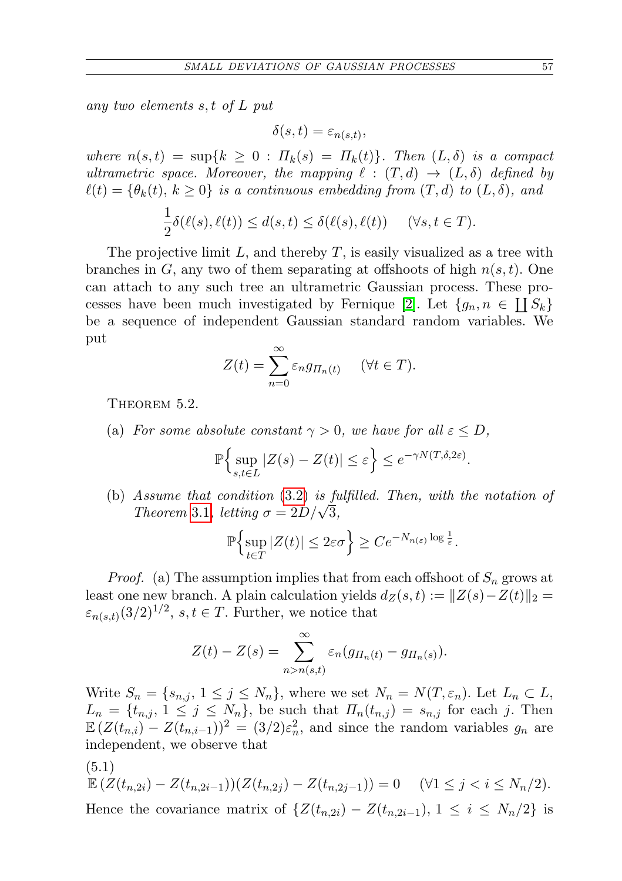any two elements s, t of L put

$$
\delta(s,t) = \varepsilon_{n(s,t)},
$$

where  $n(s,t) = \sup\{k \geq 0 : H_k(s) = H_k(t)\}\$ . Then  $(L, \delta)$  is a compact ultrametric space. Moreover, the mapping  $\ell : (T, d) \to (L, \delta)$  defined by  $\ell(t) = {\theta_k(t), k \geq 0}$  is a continuous embedding from  $(T, d)$  to  $(L, \delta)$ , and

$$
\frac{1}{2}\delta(\ell(s),\ell(t)) \leq d(s,t) \leq \delta(\ell(s),\ell(t)) \quad (\forall s,t \in T).
$$

The projective limit  $L$ , and thereby  $T$ , is easily visualized as a tree with branches in G, any two of them separating at offshoots of high  $n(s, t)$ . One can attach to any such tree an ultrametric Gaussian process. These pro-cesses have been much investigated by Fernique [\[2\]](#page-17-8). Let  $\{g_n, n \in \coprod S_k\}$ be a sequence of independent Gaussian standard random variables. We put

$$
Z(t) = \sum_{n=0}^{\infty} \varepsilon_n g_{\Pi_n(t)} \quad (\forall t \in T).
$$

THEOREM 5.2.

(a) For some absolute constant  $\gamma > 0$ , we have for all  $\varepsilon \leq D$ ,

$$
\mathbb{P}\Big\{\sup_{s,t\in L}|Z(s)-Z(t)|\leq \varepsilon\Big\}\leq e^{-\gamma N(T,\delta,2\varepsilon)}.
$$

(b) Assume that condition [\(3](#page-9-3).2) is fulfilled. Then, with the notation of Assume that condition ([3](#page-9-2).2) is fit<br>Theorem 3.1, letting  $\sigma = 2D/\sqrt{3}$ ,

$$
\mathbb{P}\Bigl\{\sup_{t\in T}|Z(t)|\leq 2\varepsilon\sigma\Bigr\}\geq Ce^{-N_{n(\varepsilon)}\log\frac{1}{\varepsilon}}.
$$

*Proof.* (a) The assumption implies that from each offshoot of  $S_n$  grows at least one new branch. A plain calculation yields  $d_Z(s,t) := ||Z(s)-Z(t)||_2 =$  $\varepsilon_{n(s,t)}(3/2)^{1/2}, s,t \in T.$  Further, we notice that

$$
Z(t) - Z(s) = \sum_{n>n(s,t)}^{\infty} \varepsilon_n (g_{\Pi_n(t)} - g_{\Pi_n(s)}).
$$

Write  $S_n = \{s_{n,j}, 1 \leq j \leq N_n\}$ , where we set  $N_n = N(T, \varepsilon_n)$ . Let  $L_n \subset L$ ,  $L_n = \{t_{n,j}, 1 \leq j \leq N_n\}$ , be such that  $\Pi_n(t_{n,j}) = s_{n,j}$  for each j. Then  $\mathbb{E}\left(Z(t_{n,i})-Z(t_{n,i-1})\right)^2 = (3/2)\varepsilon_n^2$ , and since the random variables  $g_n$  are independent, we observe that

(5.1)  $\mathbb{E} (Z(t_{n,2i}) - Z(t_{n,2i-1}))(Z(t_{n,2j}) - Z(t_{n,2j-1})) = 0 \quad (\forall 1 \leq j < i \leq N_n/2).$ Hence the covariance matrix of  $\{Z(t_{n,2i}) - Z(t_{n,2i-1}), 1 \leq i \leq N_n/2\}$  is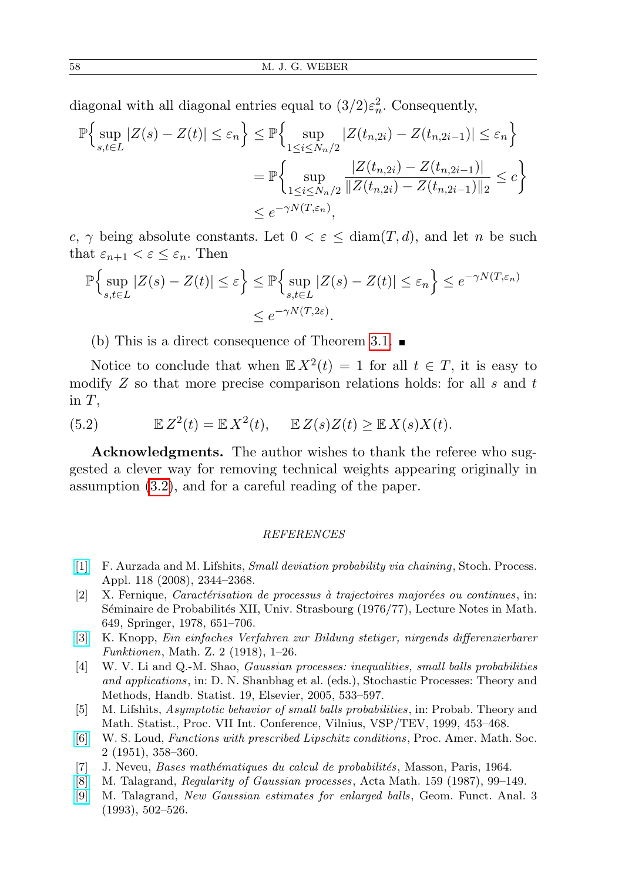diagonal with all diagonal entries equal to  $(3/2)\varepsilon_n^2$ . Consequently,

$$
\mathbb{P}\Big\{\sup_{s,t\in L}|Z(s) - Z(t)| \le \varepsilon_n\Big\} \le \mathbb{P}\Big\{\sup_{1 \le i \le N_n/2} |Z(t_{n,2i}) - Z(t_{n,2i-1})| \le \varepsilon_n\Big\}
$$
  
= 
$$
\mathbb{P}\Big\{\sup_{1 \le i \le N_n/2} \frac{|Z(t_{n,2i}) - Z(t_{n,2i-1})|}{\|Z(t_{n,2i}) - Z(t_{n,2i-1})\|_2} \le c\Big\}
$$
  

$$
\le e^{-\gamma N(T,\varepsilon_n)},
$$

c,  $\gamma$  being absolute constants. Let  $0 < \varepsilon \leq \text{diam}(T, d)$ , and let n be such that  $\varepsilon_{n+1} < \varepsilon \leq \varepsilon_n$ . Then

$$
\mathbb{P}\Big\{\sup_{s,t\in L}|Z(s)-Z(t)|\leq \varepsilon\Big\}\leq \mathbb{P}\Big\{\sup_{s,t\in L}|Z(s)-Z(t)|\leq \varepsilon_n\Big\}\leq e^{-\gamma N(T,\varepsilon_n)}\leq e^{-\gamma N(T,2\varepsilon)}.
$$

(b) This is a direct consequence of Theorem [3.1.](#page-9-2)  $\blacksquare$ 

Notice to conclude that when  $\mathbb{E} X^2(t) = 1$  for all  $t \in T$ , it is easy to modify  $Z$  so that more precise comparison relations holds: for all  $s$  and  $t$ in  $T$ ,

(5.2) 
$$
\mathbb{E} Z^2(t) = \mathbb{E} X^2(t), \quad \mathbb{E} Z(s)Z(t) \geq \mathbb{E} X(s)X(t).
$$

Acknowledgments. The author wishes to thank the referee who suggested a clever way for removing technical weights appearing originally in assumption [\(3.2\)](#page-9-3), and for a careful reading of the paper.

## REFERENCES

- <span id="page-17-2"></span>[\[1\]](http://dx.doi.org/10.1016/j.spa.2008.01.005) F. Aurzada and M. Lifshits, Small deviation probability via chaining, Stoch. Process. Appl. 118 (2008), 2344–2368.
- <span id="page-17-8"></span> $[2]$  X. Fernique, *Caractérisation de processus à trajectoires majorées ou continues*, in: Séminaire de Probabilités XII, Univ. Strasbourg (1976/77), Lecture Notes in Math. 649, Springer, 1978, 651–706.
- <span id="page-17-5"></span>[\[3\]](http://dx.doi.org/10.1007/BF01212897) K. Knopp, Ein einfaches Verfahren zur Bildung stetiger, nirgends differenzierbarer Funktionen, Math. Z. 2 (1918), 1–26.
- <span id="page-17-3"></span>[4] W. V. Li and Q.-M. Shao, Gaussian processes: inequalities, small balls probabilities and applications, in: D. N. Shanbhag et al. (eds.), Stochastic Processes: Theory and Methods, Handb. Statist. 19, Elsevier, 2005, 533–597.
- <span id="page-17-4"></span>[5] M. Lifshits, Asymptotic behavior of small balls probabilities, in: Probab. Theory and Math. Statist., Proc. VII Int. Conference, Vilnius, VSP/TEV, 1999, 453–468.
- <span id="page-17-6"></span>[\[6\]](http://dx.doi.org/10.1090/S0002-9939-1951-0043182-5) W. S. Loud, Functions with prescribed Lipschitz conditions, Proc. Amer. Math. Soc. 2 (1951), 358–360.
- <span id="page-17-0"></span>[7] J. Neveu, Bases mathématiques du calcul de probabilités, Masson, Paris, 1964.
- <span id="page-17-7"></span>[\[8\]](http://dx.doi.org/10.1007/BF02392556) M. Talagrand, Regularity of Gaussian processes, Acta Math. 159 (1987), 99–149.
- <span id="page-17-1"></span>[\[9\]](http://dx.doi.org/10.1007/BF01896240) M. Talagrand, New Gaussian estimates for enlarged balls, Geom. Funct. Anal. 3 (1993), 502–526.